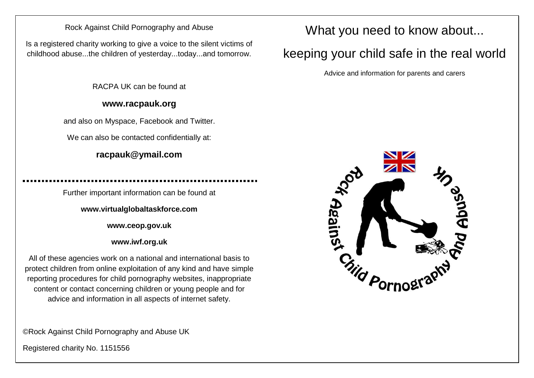#### Rock Against Child Pornography and Abuse

Is a registered charity working to give a voice to the silent victims of childhood abuse...the children of yesterday...today...and tomorrow.

RACPA UK can be found at

#### **www.racpauk.org**

and also on Myspace, Facebook and Twitter.

We can also be contacted confidentially at:

### **racpauk@ymail.com**

Further important information can be found at

**www.virtualglobaltaskforce.com**

**www.ceop.gov.uk**

**www.iwf.org.uk**

All of these agencies work on a national and international basis to protect children from online exploitation of any kind and have simple reporting procedures for child pornography websites, inappropriate content or contact concerning children or young people and for advice and information in all aspects of internet safety.

©Rock Against Child Pornography and Abuse UK

Registered charity No. 1151556

## What you need to know about...

# keeping your child safe in the real world

Advice and information for parents and carers